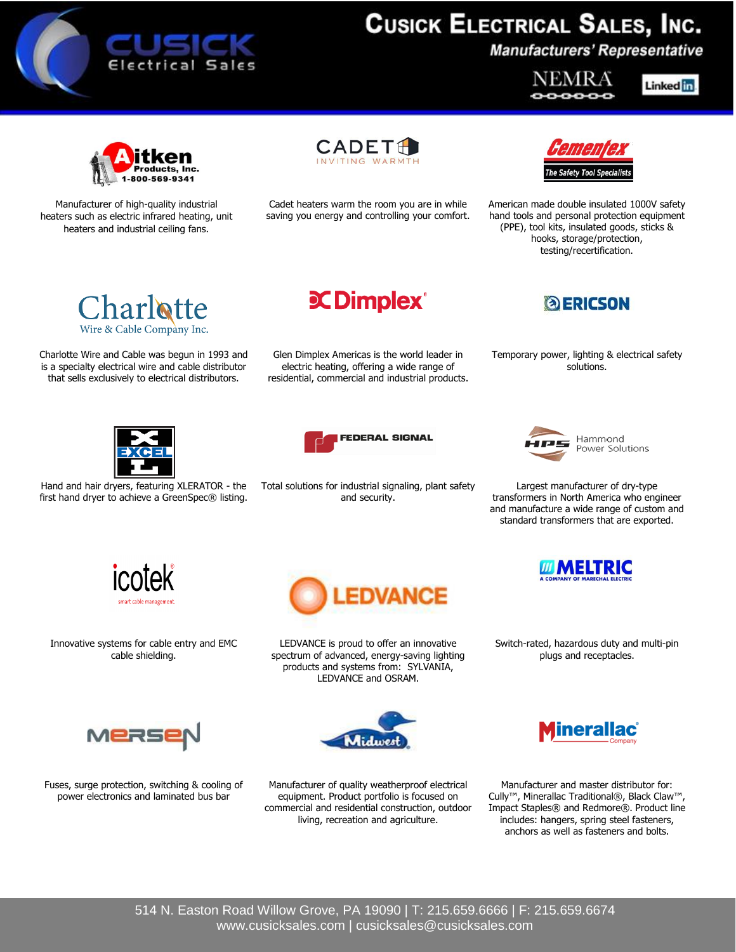

## **CUSICK ELECTRICAL SALES, INC.**

**Manufacturers' Representative** 

NEMR A

Linked in



Manufacturer of high-quality industrial heaters such as electric infrared heating, unit heaters and industrial ceiling fans.

**CADET** 

Cadet heaters warm the room you are in while saving you energy and controlling your comfort.



American made double insulated 1000V safety hand tools and personal protection equipment (PPE), tool kits, insulated goods, sticks & hooks, storage/protection, testing/recertification.



Charlotte Wire and Cable was begun in 1993 and is a specialty electrical wire and cable distributor that sells exclusively to electrical distributors.

**C**Dimplex®

Glen Dimplex Americas is the world leader in electric heating, offering a wide range of residential, commercial and industrial products.



Temporary power, lighting & electrical safety solutions.



Hand and hair dryers, featuring XLERATOR - the first hand dryer to achieve a GreenSpec® listing.



Total solutions for industrial signaling, plant safety and security.



Hammond Power Solutions

Largest manufacturer of dry-type transformers in North America who engineer and manufacture a wide range of custom and standard transformers that are exported.



Innovative systems for cable entry and EMC cable shielding.



LEDVANCE is proud to offer an innovative spectrum of advanced, energy-saving lighting products and systems from: SYLVANIA, LEDVANCE and OSRAM.



Fuses, surge protection, switching & cooling of power electronics and laminated bus bar



Manufacturer of quality weatherproof electrical equipment. Product portfolio is focused on commercial and residential construction, outdoor living, recreation and agriculture.



Switch-rated, hazardous duty and multi-pin plugs and receptacles.



Manufacturer and master distributor for: Cully™, Minerallac Traditional®, Black Claw™, Impact Staples® and Redmore®. Product line includes: hangers, spring steel fasteners, anchors as well as fasteners and bolts.